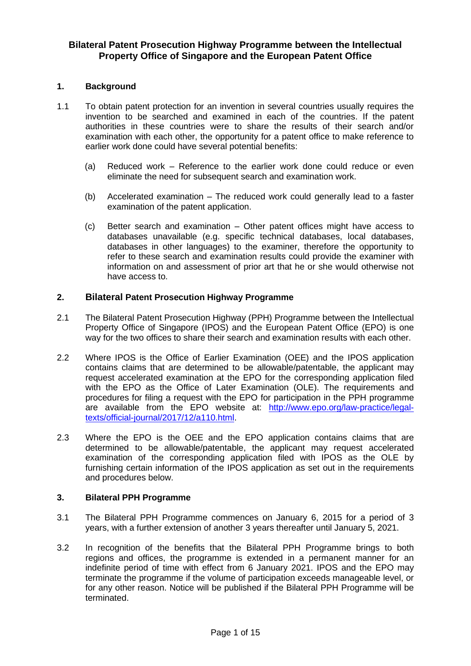## **Bilateral Patent Prosecution Highway Programme between the Intellectual Property Office of Singapore and the European Patent Office**

#### **1. Background**

- 1.1 To obtain patent protection for an invention in several countries usually requires the invention to be searched and examined in each of the countries. If the patent authorities in these countries were to share the results of their search and/or examination with each other, the opportunity for a patent office to make reference to earlier work done could have several potential benefits:
	- (a) Reduced work Reference to the earlier work done could reduce or even eliminate the need for subsequent search and examination work.
	- (b) Accelerated examination The reduced work could generally lead to a faster examination of the patent application.
	- (c) Better search and examination Other patent offices might have access to databases unavailable (e.g. specific technical databases, local databases, databases in other languages) to the examiner, therefore the opportunity to refer to these search and examination results could provide the examiner with information on and assessment of prior art that he or she would otherwise not have access to.

#### **2. Bilateral Patent Prosecution Highway Programme**

- 2.1 The Bilateral Patent Prosecution Highway (PPH) Programme between the Intellectual Property Office of Singapore (IPOS) and the European Patent Office (EPO) is one way for the two offices to share their search and examination results with each other.
- 2.2 Where IPOS is the Office of Earlier Examination (OEE) and the IPOS application contains claims that are determined to be allowable/patentable, the applicant may request accelerated examination at the EPO for the corresponding application filed with the EPO as the Office of Later Examination (OLE). The requirements and procedures for filing a request with the EPO for participation in the PPH programme are available from the EPO website at: [http://www.epo.org/law-practice/legal](http://www.epo.org/law-practice/legal-texts/official-journal/2017/12/a110.html)[texts/official-journal/2017/12/a110.html.](http://www.epo.org/law-practice/legal-texts/official-journal/2017/12/a110.html)
- 2.3 Where the EPO is the OEE and the EPO application contains claims that are determined to be allowable/patentable, the applicant may request accelerated examination of the corresponding application filed with IPOS as the OLE by furnishing certain information of the IPOS application as set out in the requirements and procedures below.

#### **3. Bilateral PPH Programme**

- 3.1 The Bilateral PPH Programme commences on January 6, 2015 for a period of 3 years, with a further extension of another 3 years thereafter until January 5, 2021.
- 3.2 In recognition of the benefits that the Bilateral PPH Programme brings to both regions and offices, the programme is extended in a permanent manner for an indefinite period of time with effect from 6 January 2021. IPOS and the EPO may terminate the programme if the volume of participation exceeds manageable level, or for any other reason. Notice will be published if the Bilateral PPH Programme will be terminated.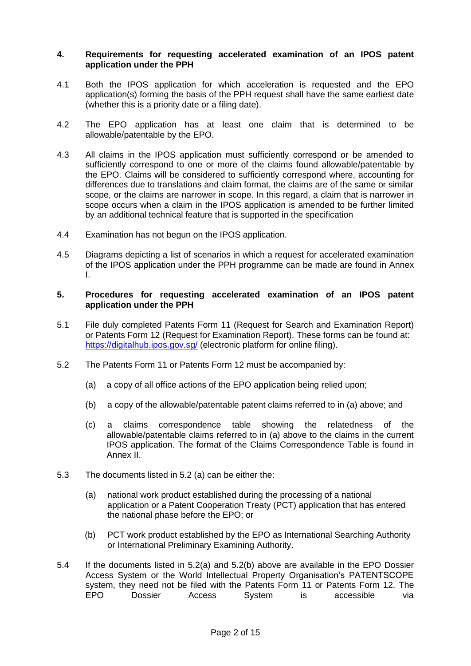#### **4. Requirements for requesting accelerated examination of an IPOS patent application under the PPH**

- 4.1 Both the IPOS application for which acceleration is requested and the EPO application(s) forming the basis of the PPH request shall have the same earliest date (whether this is a priority date or a filing date).
- 4.2 The EPO application has at least one claim that is determined to be allowable/patentable by the EPO.
- 4.3 All claims in the IPOS application must sufficiently correspond or be amended to sufficiently correspond to one or more of the claims found allowable/patentable by the EPO. Claims will be considered to sufficiently correspond where, accounting for differences due to translations and claim format, the claims are of the same or similar scope, or the claims are narrower in scope. In this regard, a claim that is narrower in scope occurs when a claim in the IPOS application is amended to be further limited by an additional technical feature that is supported in the specification
- 4.4 Examination has not begun on the IPOS application.
- 4.5 Diagrams depicting a list of scenarios in which a request for accelerated examination of the IPOS application under the PPH programme can be made are found in Annex I.

#### **5. Procedures for requesting accelerated examination of an IPOS patent application under the PPH**

- 5.1 File duly completed Patents Form 11 (Request for Search and Examination Report) or Patents Form 12 (Request for Examination Report). These forms can be found at: <https://digitalhub.ipos.gov.sg/> (electronic platform for online filing).
- 5.2 The Patents Form 11 or Patents Form 12 must be accompanied by:
	- (a) a copy of all office actions of the EPO application being relied upon;
	- (b) a copy of the allowable/patentable patent claims referred to in (a) above; and
	- (c) a claims correspondence table showing the relatedness of the allowable/patentable claims referred to in (a) above to the claims in the current IPOS application. The format of the Claims Correspondence Table is found in Annex II.
- 5.3 The documents listed in 5.2 (a) can be either the:
	- (a) national work product established during the processing of a national application or a Patent Cooperation Treaty (PCT) application that has entered the national phase before the EPO; or
	- (b) PCT work product established by the EPO as International Searching Authority or International Preliminary Examining Authority.
- 5.4 If the documents listed in 5.2(a) and 5.2(b) above are available in the EPO Dossier Access System or the World Intellectual Property Organisation's PATENTSCOPE system, they need not be filed with the Patents Form 11 or Patents Form 12. The EPO Dossier Access System is accessible via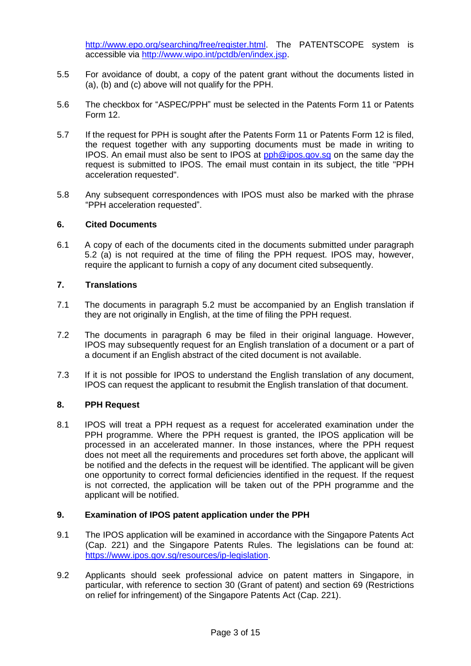[http://www.epo.org/searching/free/register.html.](http://www.epo.org/searching/free/register.html) The PATENTSCOPE system is accessible via [http://www.wipo.int/pctdb/en/index.jsp.](http://www.wipo.int/pctdb/en/index.jsp)

- 5.5 For avoidance of doubt, a copy of the patent grant without the documents listed in (a), (b) and (c) above will not qualify for the PPH.
- 5.6 The checkbox for "ASPEC/PPH" must be selected in the Patents Form 11 or Patents Form 12.
- 5.7 If the request for PPH is sought after the Patents Form 11 or Patents Form 12 is filed, the request together with any supporting documents must be made in writing to IPOS. An email must also be sent to IPOS at [pph@ipos.gov.sg](mailto:pph@ipos.gov.sg) on the same day the request is submitted to IPOS. The email must contain in its subject, the title "PPH acceleration requested".
- 5.8 Any subsequent correspondences with IPOS must also be marked with the phrase "PPH acceleration requested".

#### **6. Cited Documents**

6.1 A copy of each of the documents cited in the documents submitted under paragraph 5.2 (a) is not required at the time of filing the PPH request. IPOS may, however, require the applicant to furnish a copy of any document cited subsequently.

## **7. Translations**

- 7.1 The documents in paragraph 5.2 must be accompanied by an English translation if they are not originally in English, at the time of filing the PPH request.
- 7.2 The documents in paragraph 6 may be filed in their original language. However, IPOS may subsequently request for an English translation of a document or a part of a document if an English abstract of the cited document is not available.
- 7.3 If it is not possible for IPOS to understand the English translation of any document, IPOS can request the applicant to resubmit the English translation of that document.

#### **8. PPH Request**

8.1 IPOS will treat a PPH request as a request for accelerated examination under the PPH programme. Where the PPH request is granted, the IPOS application will be processed in an accelerated manner. In those instances, where the PPH request does not meet all the requirements and procedures set forth above, the applicant will be notified and the defects in the request will be identified. The applicant will be given one opportunity to correct formal deficiencies identified in the request. If the request is not corrected, the application will be taken out of the PPH programme and the applicant will be notified.

#### **9. Examination of IPOS patent application under the PPH**

- 9.1 The IPOS application will be examined in accordance with the Singapore Patents Act (Cap. 221) and the Singapore Patents Rules. The legislations can be found at: [https://www.ipos.gov.sg/resources/ip-legislation.](https://www.ipos.gov.sg/resources/ip-legislation)
- 9.2 Applicants should seek professional advice on patent matters in Singapore, in particular, with reference to section 30 (Grant of patent) and section 69 (Restrictions on relief for infringement) of the Singapore Patents Act (Cap. 221).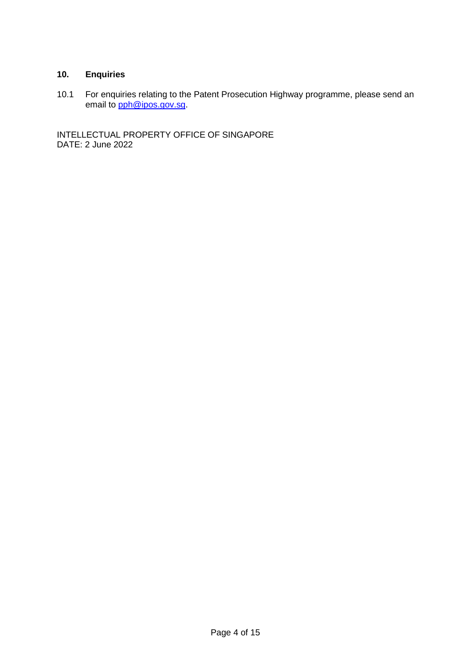## **10. Enquiries**

10.1 For enquiries relating to the Patent Prosecution Highway programme, please send an email to **pph@ipos.gov.sg**.

INTELLECTUAL PROPERTY OFFICE OF SINGAPORE DATE: 2 June 2022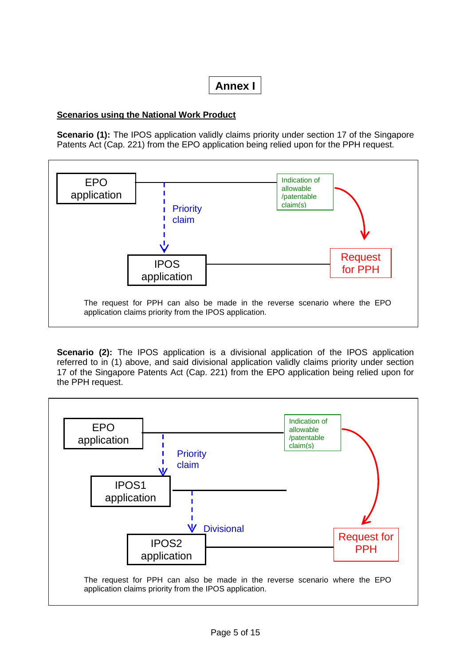## **Annex I**

## **Scenarios using the National Work Product**

**Scenario (1):** The IPOS application validly claims priority under section 17 of the Singapore Patents Act (Cap. 221) from the EPO application being relied upon for the PPH request.



**Scenario (2):** The IPOS application is a divisional application of the IPOS application referred to in (1) above, and said divisional application validly claims priority under section 17 of the Singapore Patents Act (Cap. 221) from the EPO application being relied upon for the PPH request.

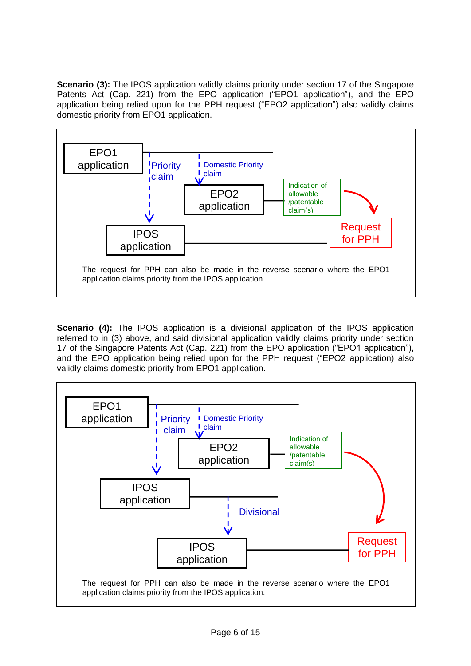**Scenario (3):** The IPOS application validly claims priority under section 17 of the Singapore Patents Act (Cap. 221) from the EPO application ("EPO1 application"), and the EPO application being relied upon for the PPH request ("EPO2 application") also validly claims domestic priority from EPO1 application.



**Scenario (4):** The IPOS application is a divisional application of the IPOS application referred to in (3) above, and said divisional application validly claims priority under section 17 of the Singapore Patents Act (Cap. 221) from the EPO application ("EPO1 application"), and the EPO application being relied upon for the PPH request ("EPO2 application) also validly claims domestic priority from EPO1 application.

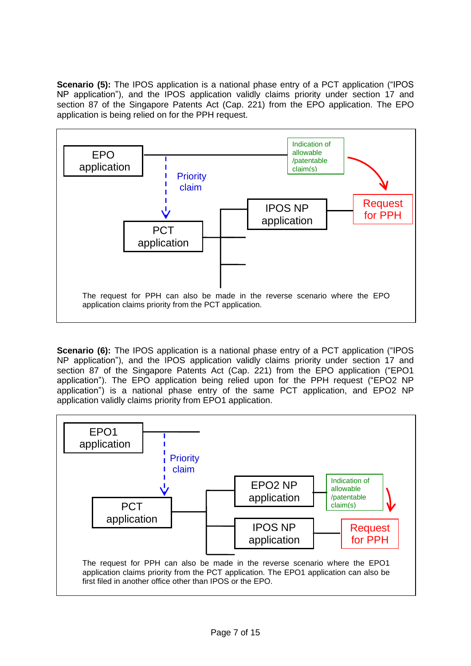**Scenario (5):** The IPOS application is a national phase entry of a PCT application ("IPOS") NP application"), and the IPOS application validly claims priority under section 17 and section 87 of the Singapore Patents Act (Cap. 221) from the EPO application. The EPO application is being relied on for the PPH request.



**Scenario (6):** The IPOS application is a national phase entry of a PCT application ("IPOS") NP application"), and the IPOS application validly claims priority under section 17 and section 87 of the Singapore Patents Act (Cap. 221) from the EPO application ("EPO1 application"). The EPO application being relied upon for the PPH request ("EPO2 NP application") is a national phase entry of the same PCT application, and EPO2 NP application validly claims priority from EPO1 application.

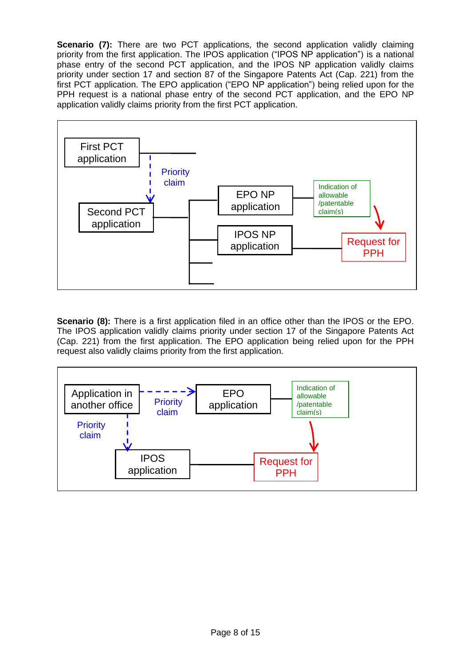**Scenario (7):** There are two PCT applications, the second application validly claiming priority from the first application. The IPOS application ("IPOS NP application") is a national phase entry of the second PCT application, and the IPOS NP application validly claims priority under section 17 and section 87 of the Singapore Patents Act (Cap. 221) from the first PCT application. The EPO application ("EPO NP application") being relied upon for the PPH request is a national phase entry of the second PCT application, and the EPO NP application validly claims priority from the first PCT application.



**Scenario (8):** There is a first application filed in an office other than the IPOS or the EPO. The IPOS application validly claims priority under section 17 of the Singapore Patents Act (Cap. 221) from the first application. The EPO application being relied upon for the PPH request also validly claims priority from the first application.

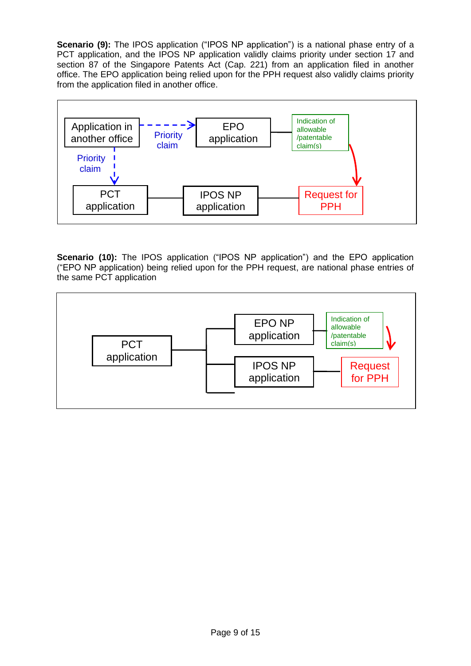**Scenario (9):** The IPOS application ("IPOS NP application") is a national phase entry of a PCT application, and the IPOS NP application validly claims priority under section 17 and section 87 of the Singapore Patents Act (Cap. 221) from an application filed in another office. The EPO application being relied upon for the PPH request also validly claims priority from the application filed in another office.



**Scenario (10):** The IPOS application ("IPOS NP application") and the EPO application ("EPO NP application) being relied upon for the PPH request, are national phase entries of the same PCT application

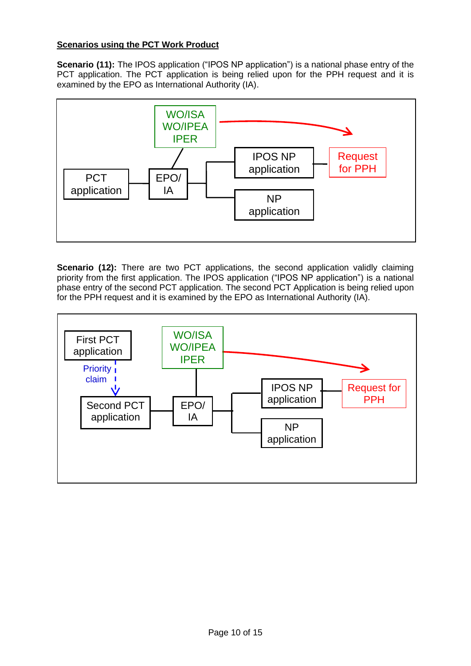## **Scenarios using the PCT Work Product**

**Scenario (11):** The IPOS application ("IPOS NP application") is a national phase entry of the PCT application. The PCT application is being relied upon for the PPH request and it is examined by the EPO as International Authority (IA).



**Scenario (12):** There are two PCT applications, the second application validly claiming priority from the first application. The IPOS application ("IPOS NP application") is a national phase entry of the second PCT application. The second PCT Application is being relied upon for the PPH request and it is examined by the EPO as International Authority (IA).

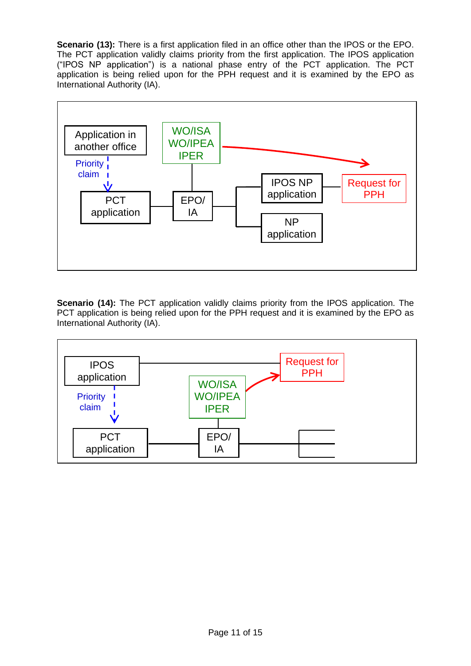**Scenario (13):** There is a first application filed in an office other than the IPOS or the EPO. The PCT application validly claims priority from the first application. The IPOS application ("IPOS NP application") is a national phase entry of the PCT application. The PCT application is being relied upon for the PPH request and it is examined by the EPO as International Authority (IA).



**Scenario (14):** The PCT application validly claims priority from the IPOS application. The PCT application is being relied upon for the PPH request and it is examined by the EPO as International Authority (IA).

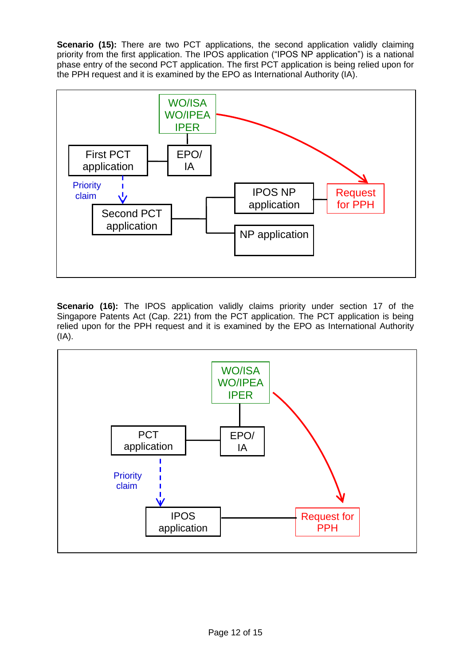**Scenario (15):** There are two PCT applications, the second application validly claiming priority from the first application. The IPOS application ("IPOS NP application") is a national phase entry of the second PCT application. The first PCT application is being relied upon for the PPH request and it is examined by the EPO as International Authority (IA).



**Scenario (16):** The IPOS application validly claims priority under section 17 of the Singapore Patents Act (Cap. 221) from the PCT application. The PCT application is being relied upon for the PPH request and it is examined by the EPO as International Authority (IA).

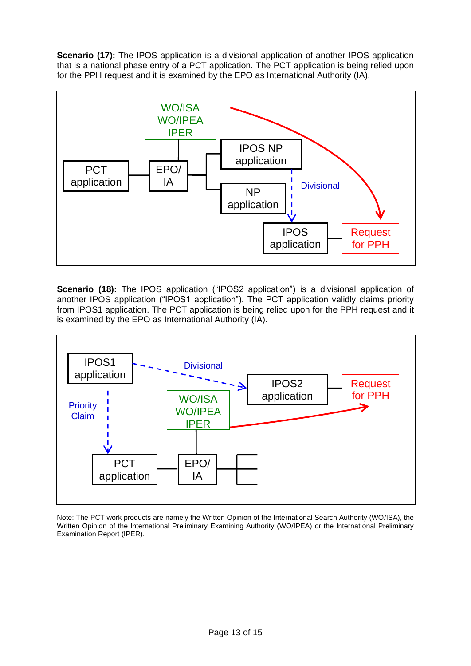**Scenario (17):** The IPOS application is a divisional application of another IPOS application that is a national phase entry of a PCT application. The PCT application is being relied upon for the PPH request and it is examined by the EPO as International Authority (IA).



**Scenario (18):** The IPOS application ("IPOS2 application") is a divisional application of another IPOS application ("IPOS1 application"). The PCT application validly claims priority from IPOS1 application. The PCT application is being relied upon for the PPH request and it is examined by the EPO as International Authority (IA).



Note: The PCT work products are namely the Written Opinion of the International Search Authority (WO/ISA), the Written Opinion of the International Preliminary Examining Authority (WO/IPEA) or the International Preliminary Examination Report (IPER).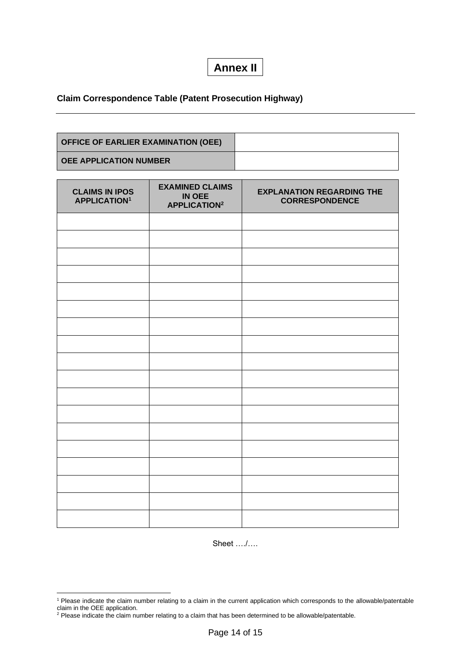# **Annex II**

## **Claim Correspondence Table (Patent Prosecution Highway)**

| OFFICE OF EARLIER EXAMINATION (OEE) |  |
|-------------------------------------|--|
| <b>LOEE APPLICATION NUMBER</b>      |  |

| <b>CLAIMS IN IPOS</b><br><b>APPLICATION1</b> | <b>EXAMINED CLAIMS</b><br>IN OEE<br><b>APPLICATION2</b> | <b>EXPLANATION REGARDING THE</b><br><b>CORRESPONDENCE</b> |
|----------------------------------------------|---------------------------------------------------------|-----------------------------------------------------------|
|                                              |                                                         |                                                           |
|                                              |                                                         |                                                           |
|                                              |                                                         |                                                           |
|                                              |                                                         |                                                           |
|                                              |                                                         |                                                           |
|                                              |                                                         |                                                           |
|                                              |                                                         |                                                           |
|                                              |                                                         |                                                           |
|                                              |                                                         |                                                           |
|                                              |                                                         |                                                           |
|                                              |                                                         |                                                           |
|                                              |                                                         |                                                           |
|                                              |                                                         |                                                           |
|                                              |                                                         |                                                           |
|                                              |                                                         |                                                           |
|                                              |                                                         |                                                           |
|                                              |                                                         |                                                           |
|                                              |                                                         |                                                           |

Sheet …./….

<sup>1</sup> Please indicate the claim number relating to a claim in the current application which corresponds to the allowable/patentable claim in the OEE application.

 $2$  Please indicate the claim number relating to a claim that has been determined to be allowable/patentable.